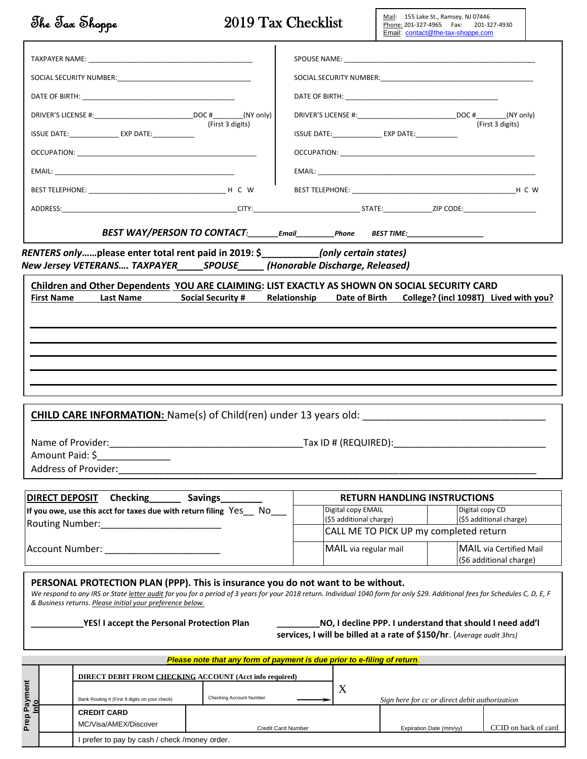|                                                                                                                                 | The Tax Shoppe                                                                                                                                                                                                                                                                                                                  | 2019 Tax Checklist                                                               |                                                                                              |                       | Mail: 155 Lake St., Ramsey, NJ 07446<br>Phone: 201-327-4965    Fax:    201-327-4930<br>Email: contact@the-tax-shoppe.com           |  |                         |  |  |
|---------------------------------------------------------------------------------------------------------------------------------|---------------------------------------------------------------------------------------------------------------------------------------------------------------------------------------------------------------------------------------------------------------------------------------------------------------------------------|----------------------------------------------------------------------------------|----------------------------------------------------------------------------------------------|-----------------------|------------------------------------------------------------------------------------------------------------------------------------|--|-------------------------|--|--|
|                                                                                                                                 |                                                                                                                                                                                                                                                                                                                                 |                                                                                  |                                                                                              |                       |                                                                                                                                    |  |                         |  |  |
|                                                                                                                                 |                                                                                                                                                                                                                                                                                                                                 |                                                                                  |                                                                                              |                       |                                                                                                                                    |  |                         |  |  |
|                                                                                                                                 |                                                                                                                                                                                                                                                                                                                                 |                                                                                  |                                                                                              |                       |                                                                                                                                    |  |                         |  |  |
|                                                                                                                                 |                                                                                                                                                                                                                                                                                                                                 |                                                                                  |                                                                                              |                       |                                                                                                                                    |  |                         |  |  |
| (First 3 digits)<br>ISSUE DATE:________________ EXP DATE:_____________                                                          |                                                                                                                                                                                                                                                                                                                                 |                                                                                  | (First 3 digits)<br>ISSUE DATE:__________________ EXP DATE:_____________                     |                       |                                                                                                                                    |  |                         |  |  |
|                                                                                                                                 |                                                                                                                                                                                                                                                                                                                                 |                                                                                  |                                                                                              |                       |                                                                                                                                    |  |                         |  |  |
|                                                                                                                                 |                                                                                                                                                                                                                                                                                                                                 |                                                                                  |                                                                                              |                       |                                                                                                                                    |  |                         |  |  |
|                                                                                                                                 |                                                                                                                                                                                                                                                                                                                                 |                                                                                  |                                                                                              |                       |                                                                                                                                    |  |                         |  |  |
|                                                                                                                                 |                                                                                                                                                                                                                                                                                                                                 |                                                                                  |                                                                                              |                       |                                                                                                                                    |  |                         |  |  |
|                                                                                                                                 |                                                                                                                                                                                                                                                                                                                                 | BEST WAY/PERSON TO CONTACT:________Email__________Phone BEST TIME:______________ |                                                                                              |                       |                                                                                                                                    |  |                         |  |  |
|                                                                                                                                 | RENTERS onlyplease enter total rent paid in 2019: \$_____________(only certain states)                                                                                                                                                                                                                                          |                                                                                  |                                                                                              |                       |                                                                                                                                    |  |                         |  |  |
|                                                                                                                                 | New Jersey VETERANS TAXPAYER_____SPOUSE_____(Honorable Discharge, Released)                                                                                                                                                                                                                                                     |                                                                                  |                                                                                              |                       |                                                                                                                                    |  |                         |  |  |
| <b>First Name</b>                                                                                                               | Children and Other Dependents YOU ARE CLAIMING: LIST EXACTLY AS SHOWN ON SOCIAL SECURITY CARD<br><b>Last Name</b>                                                                                                                                                                                                               | <b>Social Security #</b>                                                         |                                                                                              |                       | Relationship Date of Birth College? (incl 1098T) Lived with you?                                                                   |  |                         |  |  |
|                                                                                                                                 |                                                                                                                                                                                                                                                                                                                                 |                                                                                  |                                                                                              |                       |                                                                                                                                    |  |                         |  |  |
|                                                                                                                                 |                                                                                                                                                                                                                                                                                                                                 |                                                                                  |                                                                                              |                       |                                                                                                                                    |  |                         |  |  |
|                                                                                                                                 |                                                                                                                                                                                                                                                                                                                                 |                                                                                  |                                                                                              |                       |                                                                                                                                    |  |                         |  |  |
|                                                                                                                                 |                                                                                                                                                                                                                                                                                                                                 |                                                                                  |                                                                                              |                       |                                                                                                                                    |  |                         |  |  |
|                                                                                                                                 |                                                                                                                                                                                                                                                                                                                                 |                                                                                  |                                                                                              |                       |                                                                                                                                    |  |                         |  |  |
|                                                                                                                                 |                                                                                                                                                                                                                                                                                                                                 |                                                                                  |                                                                                              |                       |                                                                                                                                    |  |                         |  |  |
|                                                                                                                                 | <b>CHILD CARE INFORMATION:</b> Name(s) of Child(ren) under 13 years old:                                                                                                                                                                                                                                                        |                                                                                  |                                                                                              |                       |                                                                                                                                    |  |                         |  |  |
|                                                                                                                                 | Name of Provider:                                                                                                                                                                                                                                                                                                               |                                                                                  |                                                                                              | Tax ID # (REQUIRED):  |                                                                                                                                    |  |                         |  |  |
| Amount Paid: \$                                                                                                                 |                                                                                                                                                                                                                                                                                                                                 |                                                                                  |                                                                                              |                       |                                                                                                                                    |  |                         |  |  |
|                                                                                                                                 | <b>Address of Provider:</b>                                                                                                                                                                                                                                                                                                     |                                                                                  |                                                                                              |                       |                                                                                                                                    |  |                         |  |  |
|                                                                                                                                 |                                                                                                                                                                                                                                                                                                                                 |                                                                                  |                                                                                              |                       |                                                                                                                                    |  |                         |  |  |
| <b>DIRECT DEPOSIT</b><br><b>Checking</b><br><b>Savings</b><br>If you owe, use this acct for taxes due with return filing Yes No |                                                                                                                                                                                                                                                                                                                                 |                                                                                  | <b>RETURN HANDLING INSTRUCTIONS</b><br>Digital copy EMAIL                                    |                       |                                                                                                                                    |  | Digital copy CD         |  |  |
|                                                                                                                                 |                                                                                                                                                                                                                                                                                                                                 |                                                                                  | (\$5 additional charge)<br>(\$5 additional charge)<br>CALL ME TO PICK UP my completed return |                       |                                                                                                                                    |  |                         |  |  |
|                                                                                                                                 | Account Number: National Account Number:                                                                                                                                                                                                                                                                                        |                                                                                  |                                                                                              | MAIL via regular mail |                                                                                                                                    |  | MAIL via Certified Mail |  |  |
|                                                                                                                                 |                                                                                                                                                                                                                                                                                                                                 |                                                                                  |                                                                                              |                       |                                                                                                                                    |  | (\$6 additional charge) |  |  |
|                                                                                                                                 | PERSONAL PROTECTION PLAN (PPP). This is insurance you do not want to be without.<br>We respond to any IRS or State letter audit for you for a period of 3 years for your 2018 return. Individual 1040 form for only \$29. Additional fees for Schedules C, D, E, F<br>& Business returns. Please initial your preference below. |                                                                                  |                                                                                              |                       |                                                                                                                                    |  |                         |  |  |
|                                                                                                                                 | <b>YES! I accept the Personal Protection Plan</b>                                                                                                                                                                                                                                                                               |                                                                                  |                                                                                              |                       | NO, I decline PPP. I understand that should I need add'l<br>services, I will be billed at a rate of \$150/hr. (Average audit 3hrs) |  |                         |  |  |
|                                                                                                                                 |                                                                                                                                                                                                                                                                                                                                 | Please note that any form of payment is due prior to e-filing of return.         |                                                                                              |                       |                                                                                                                                    |  |                         |  |  |
|                                                                                                                                 | DIRECT DEBIT FROM CHECKING ACCOUNT (Acct info required)                                                                                                                                                                                                                                                                         |                                                                                  |                                                                                              |                       |                                                                                                                                    |  |                         |  |  |
| Prep Payment                                                                                                                    | Bank Routing # (First 9 digits on your check)                                                                                                                                                                                                                                                                                   | <b>Checking Account Number</b>                                                   |                                                                                              | X                     | Sign here for cc or direct debit authorization                                                                                     |  |                         |  |  |
| Info                                                                                                                            | <b>CREDIT CARD</b>                                                                                                                                                                                                                                                                                                              |                                                                                  |                                                                                              |                       |                                                                                                                                    |  |                         |  |  |
|                                                                                                                                 | MC/Visa/AMEX/Discover                                                                                                                                                                                                                                                                                                           | Credit Card Number                                                               |                                                                                              |                       | Expiration Date (mm/yy)                                                                                                            |  | CCID on back of card    |  |  |